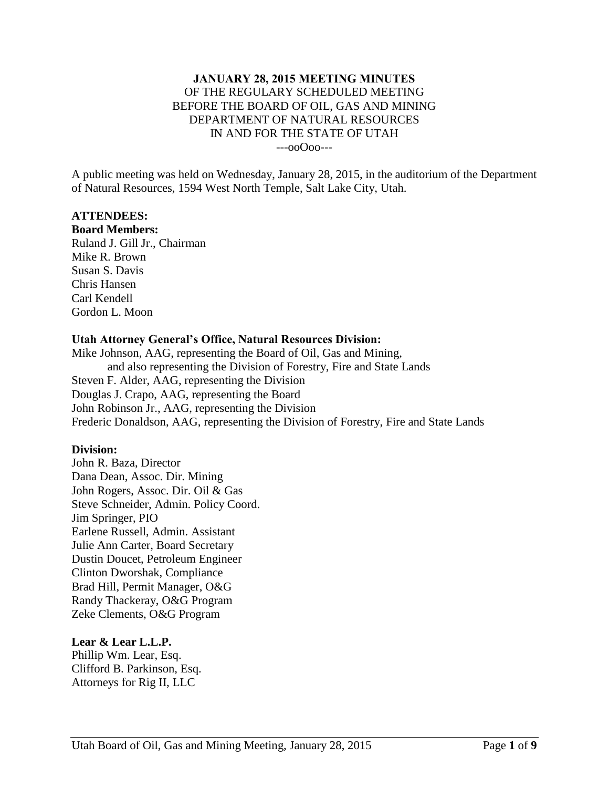#### **JANUARY 28, 2015 MEETING MINUTES** OF THE REGULARY SCHEDULED MEETING BEFORE THE BOARD OF OIL, GAS AND MINING DEPARTMENT OF NATURAL RESOURCES IN AND FOR THE STATE OF UTAH ---ooOoo---

A public meeting was held on Wednesday, January 28, 2015, in the auditorium of the Department of Natural Resources, 1594 West North Temple, Salt Lake City, Utah.

#### **ATTENDEES:**

**Board Members:**

Ruland J. Gill Jr., Chairman Mike R. Brown Susan S. Davis Chris Hansen Carl Kendell Gordon L. Moon

## **Utah Attorney General's Office, Natural Resources Division:**

Mike Johnson, AAG, representing the Board of Oil, Gas and Mining, and also representing the Division of Forestry, Fire and State Lands Steven F. Alder, AAG, representing the Division Douglas J. Crapo, AAG, representing the Board John Robinson Jr., AAG, representing the Division Frederic Donaldson, AAG, representing the Division of Forestry, Fire and State Lands

## **Division:**

John R. Baza, Director Dana Dean, Assoc. Dir. Mining John Rogers, Assoc. Dir. Oil & Gas Steve Schneider, Admin. Policy Coord. Jim Springer, PIO Earlene Russell, Admin. Assistant Julie Ann Carter, Board Secretary Dustin Doucet, Petroleum Engineer Clinton Dworshak, Compliance Brad Hill, Permit Manager, O&G Randy Thackeray, O&G Program Zeke Clements, O&G Program

## **Lear & Lear L.L.P.**

Phillip Wm. Lear, Esq. Clifford B. Parkinson, Esq. Attorneys for Rig II, LLC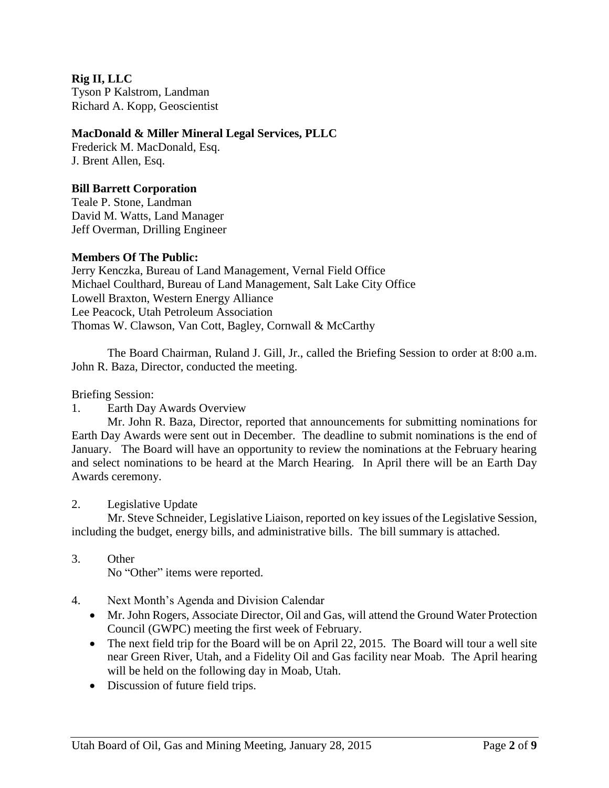**Rig II, LLC** Tyson P Kalstrom, Landman Richard A. Kopp, Geoscientist

## **MacDonald & Miller Mineral Legal Services, PLLC**

Frederick M. MacDonald, Esq. J. Brent Allen, Esq.

# **Bill Barrett Corporation**

Teale P. Stone, Landman David M. Watts, Land Manager Jeff Overman, Drilling Engineer

## **Members Of The Public:**

Jerry Kenczka, Bureau of Land Management, Vernal Field Office Michael Coulthard, Bureau of Land Management, Salt Lake City Office Lowell Braxton, Western Energy Alliance Lee Peacock, Utah Petroleum Association Thomas W. Clawson, Van Cott, Bagley, Cornwall & McCarthy

The Board Chairman, Ruland J. Gill, Jr., called the Briefing Session to order at 8:00 a.m. John R. Baza, Director, conducted the meeting.

Briefing Session:

1. Earth Day Awards Overview

Mr. John R. Baza, Director, reported that announcements for submitting nominations for Earth Day Awards were sent out in December. The deadline to submit nominations is the end of January. The Board will have an opportunity to review the nominations at the February hearing and select nominations to be heard at the March Hearing. In April there will be an Earth Day Awards ceremony.

2. Legislative Update

Mr. Steve Schneider, Legislative Liaison, reported on key issues of the Legislative Session, including the budget, energy bills, and administrative bills. The bill summary is attached.

3. Other

No "Other" items were reported.

- 4. Next Month's Agenda and Division Calendar
	- Mr. John Rogers, Associate Director, Oil and Gas, will attend the Ground Water Protection Council (GWPC) meeting the first week of February.
	- The next field trip for the Board will be on April 22, 2015. The Board will tour a well site near Green River, Utah, and a Fidelity Oil and Gas facility near Moab. The April hearing will be held on the following day in Moab, Utah.
	- Discussion of future field trips.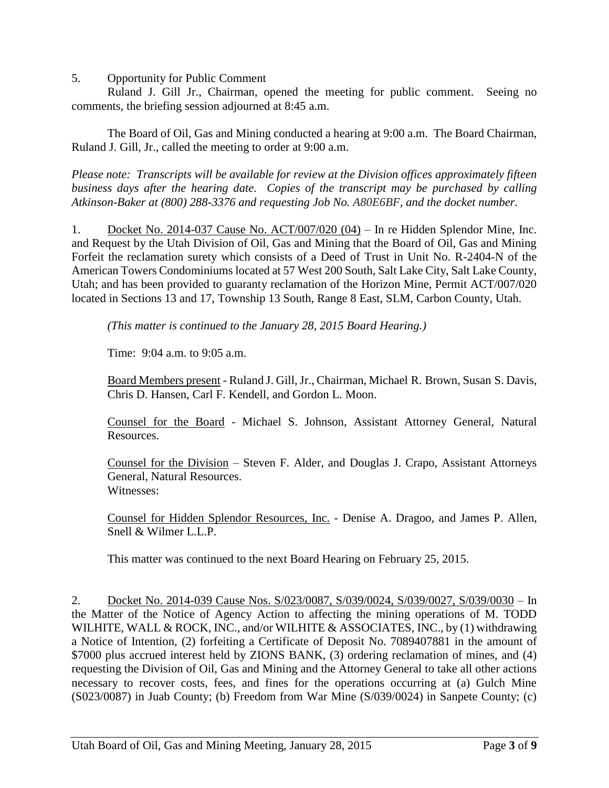5. Opportunity for Public Comment

Ruland J. Gill Jr., Chairman, opened the meeting for public comment. Seeing no comments, the briefing session adjourned at 8:45 a.m.

The Board of Oil, Gas and Mining conducted a hearing at 9:00 a.m. The Board Chairman, Ruland J. Gill, Jr., called the meeting to order at 9:00 a.m.

*Please note: Transcripts will be available for review at the Division offices approximately fifteen business days after the hearing date. Copies of the transcript may be purchased by calling Atkinson-Baker at (800) 288-3376 and requesting Job No. A80E6BF, and the docket number.*

1. Docket No. 2014-037 Cause No. ACT/007/020 (04) – In re Hidden Splendor Mine, Inc. and Request by the Utah Division of Oil, Gas and Mining that the Board of Oil, Gas and Mining Forfeit the reclamation surety which consists of a Deed of Trust in Unit No. R-2404-N of the American Towers Condominiums located at 57 West 200 South, Salt Lake City, Salt Lake County, Utah; and has been provided to guaranty reclamation of the Horizon Mine, Permit ACT/007/020 located in Sections 13 and 17, Township 13 South, Range 8 East, SLM, Carbon County, Utah.

*(This matter is continued to the January 28, 2015 Board Hearing.)*

Time:  $9:04$  a.m. to  $9:05$  a.m.

Board Members present - Ruland J. Gill, Jr., Chairman, Michael R. Brown, Susan S. Davis, Chris D. Hansen, Carl F. Kendell, and Gordon L. Moon.

Counsel for the Board - Michael S. Johnson, Assistant Attorney General, Natural Resources.

Counsel for the Division – Steven F. Alder, and Douglas J. Crapo, Assistant Attorneys General, Natural Resources. Witnesses:

Counsel for Hidden Splendor Resources, Inc. - Denise A. Dragoo, and James P. Allen, Snell & Wilmer L.L.P.

This matter was continued to the next Board Hearing on February 25, 2015.

2. Docket No. 2014-039 Cause Nos. S/023/0087, S/039/0024, S/039/0027, S/039/0030 – In the Matter of the Notice of Agency Action to affecting the mining operations of M. TODD WILHITE, WALL & ROCK, INC., and/or WILHITE & ASSOCIATES, INC., by (1) withdrawing a Notice of Intention, (2) forfeiting a Certificate of Deposit No. 7089407881 in the amount of \$7000 plus accrued interest held by ZIONS BANK, (3) ordering reclamation of mines, and (4) requesting the Division of Oil, Gas and Mining and the Attorney General to take all other actions necessary to recover costs, fees, and fines for the operations occurring at (a) Gulch Mine (S023/0087) in Juab County; (b) Freedom from War Mine (S/039/0024) in Sanpete County; (c)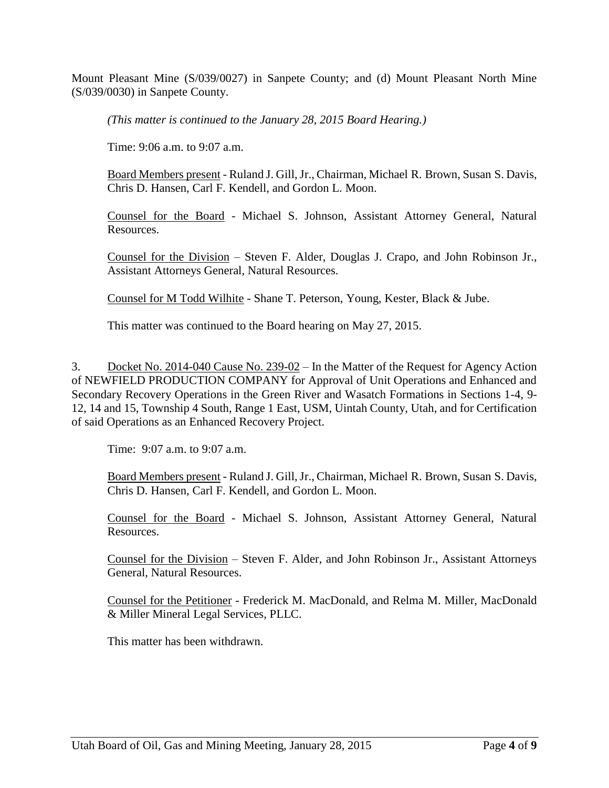Mount Pleasant Mine (S/039/0027) in Sanpete County; and (d) Mount Pleasant North Mine (S/039/0030) in Sanpete County.

*(This matter is continued to the January 28, 2015 Board Hearing.)*

Time: 9:06 a.m. to 9:07 a.m.

Board Members present - Ruland J. Gill, Jr., Chairman, Michael R. Brown, Susan S. Davis, Chris D. Hansen, Carl F. Kendell, and Gordon L. Moon.

Counsel for the Board - Michael S. Johnson, Assistant Attorney General, Natural Resources.

Counsel for the Division – Steven F. Alder, Douglas J. Crapo, and John Robinson Jr., Assistant Attorneys General, Natural Resources.

Counsel for M Todd Wilhite - Shane T. Peterson, Young, Kester, Black & Jube.

This matter was continued to the Board hearing on May 27, 2015.

3. Docket No. 2014-040 Cause No. 239-02 – In the Matter of the Request for Agency Action of NEWFIELD PRODUCTION COMPANY for Approval of Unit Operations and Enhanced and Secondary Recovery Operations in the Green River and Wasatch Formations in Sections 1-4, 9- 12, 14 and 15, Township 4 South, Range 1 East, USM, Uintah County, Utah, and for Certification of said Operations as an Enhanced Recovery Project.

Time: 9:07 a.m. to 9:07 a.m.

Board Members present - Ruland J. Gill, Jr., Chairman, Michael R. Brown, Susan S. Davis, Chris D. Hansen, Carl F. Kendell, and Gordon L. Moon.

Counsel for the Board - Michael S. Johnson, Assistant Attorney General, Natural Resources.

Counsel for the Division – Steven F. Alder, and John Robinson Jr., Assistant Attorneys General, Natural Resources.

Counsel for the Petitioner - Frederick M. MacDonald, and Relma M. Miller, MacDonald & Miller Mineral Legal Services, PLLC.

This matter has been withdrawn.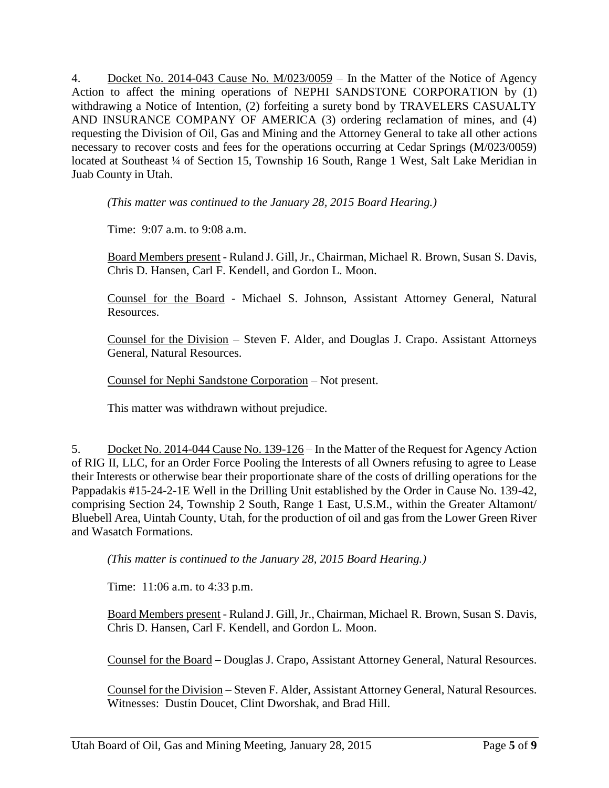4. Docket No. 2014-043 Cause No. M/023/0059 – In the Matter of the Notice of Agency Action to affect the mining operations of NEPHI SANDSTONE CORPORATION by (1) withdrawing a Notice of Intention, (2) forfeiting a surety bond by TRAVELERS CASUALTY AND INSURANCE COMPANY OF AMERICA (3) ordering reclamation of mines, and (4) requesting the Division of Oil, Gas and Mining and the Attorney General to take all other actions necessary to recover costs and fees for the operations occurring at Cedar Springs (M/023/0059) located at Southeast ¼ of Section 15, Township 16 South, Range 1 West, Salt Lake Meridian in Juab County in Utah.

*(This matter was continued to the January 28, 2015 Board Hearing.)*

Time: 9:07 a.m. to 9:08 a.m.

Board Members present - Ruland J. Gill, Jr., Chairman, Michael R. Brown, Susan S. Davis, Chris D. Hansen, Carl F. Kendell, and Gordon L. Moon.

Counsel for the Board - Michael S. Johnson, Assistant Attorney General, Natural Resources.

Counsel for the Division – Steven F. Alder, and Douglas J. Crapo. Assistant Attorneys General, Natural Resources.

Counsel for Nephi Sandstone Corporation – Not present.

This matter was withdrawn without prejudice.

5. Docket No. 2014-044 Cause No. 139-126 – In the Matter of the Request for Agency Action of RIG II, LLC, for an Order Force Pooling the Interests of all Owners refusing to agree to Lease their Interests or otherwise bear their proportionate share of the costs of drilling operations for the Pappadakis #15-24-2-1E Well in the Drilling Unit established by the Order in Cause No. 139-42, comprising Section 24, Township 2 South, Range 1 East, U.S.M., within the Greater Altamont/ Bluebell Area, Uintah County, Utah, for the production of oil and gas from the Lower Green River and Wasatch Formations.

*(This matter is continued to the January 28, 2015 Board Hearing.)*

Time: 11:06 a.m. to 4:33 p.m.

Board Members present - Ruland J. Gill, Jr., Chairman, Michael R. Brown, Susan S. Davis, Chris D. Hansen, Carl F. Kendell, and Gordon L. Moon.

Counsel for the Board – Douglas J. Crapo, Assistant Attorney General, Natural Resources.

Counsel for the Division – Steven F. Alder, Assistant Attorney General, Natural Resources. Witnesses: Dustin Doucet, Clint Dworshak, and Brad Hill.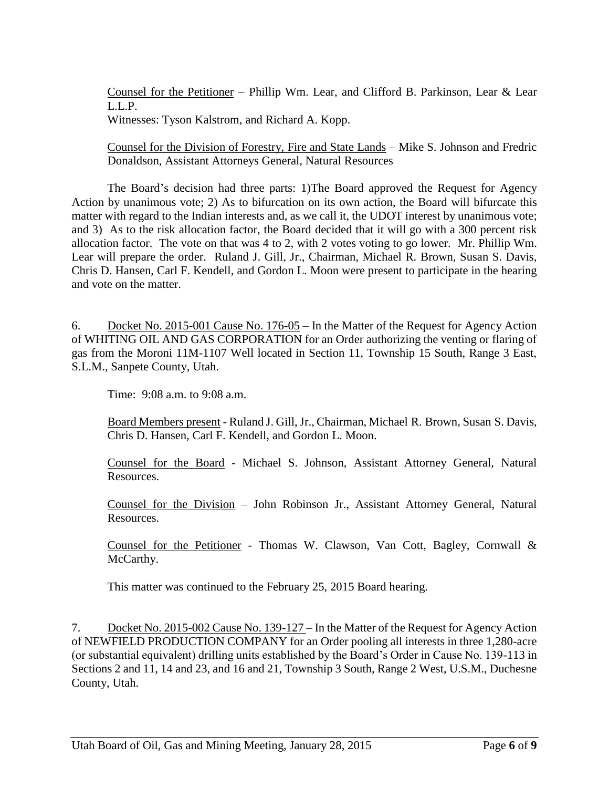Counsel for the Petitioner – Phillip Wm. Lear, and Clifford B. Parkinson, Lear & Lear L.L.P.

Witnesses: Tyson Kalstrom, and Richard A. Kopp.

Counsel for the Division of Forestry, Fire and State Lands – Mike S. Johnson and Fredric Donaldson, Assistant Attorneys General, Natural Resources

The Board's decision had three parts: 1)The Board approved the Request for Agency Action by unanimous vote; 2) As to bifurcation on its own action, the Board will bifurcate this matter with regard to the Indian interests and, as we call it, the UDOT interest by unanimous vote; and 3) As to the risk allocation factor, the Board decided that it will go with a 300 percent risk allocation factor. The vote on that was 4 to 2, with 2 votes voting to go lower. Mr. Phillip Wm. Lear will prepare the order. Ruland J. Gill, Jr., Chairman, Michael R. Brown, Susan S. Davis, Chris D. Hansen, Carl F. Kendell, and Gordon L. Moon were present to participate in the hearing and vote on the matter.

6. Docket No. 2015-001 Cause No. 176-05 – In the Matter of the Request for Agency Action of WHITING OIL AND GAS CORPORATION for an Order authorizing the venting or flaring of gas from the Moroni 11M-1107 Well located in Section 11, Township 15 South, Range 3 East, S.L.M., Sanpete County, Utah.

Time: 9:08 a.m. to 9:08 a.m.

Board Members present - Ruland J. Gill, Jr., Chairman, Michael R. Brown, Susan S. Davis, Chris D. Hansen, Carl F. Kendell, and Gordon L. Moon.

Counsel for the Board - Michael S. Johnson, Assistant Attorney General, Natural Resources.

Counsel for the Division – John Robinson Jr., Assistant Attorney General, Natural Resources.

Counsel for the Petitioner - Thomas W. Clawson, Van Cott, Bagley, Cornwall & McCarthy.

This matter was continued to the February 25, 2015 Board hearing.

7. Docket No. 2015-002 Cause No. 139-127 – In the Matter of the Request for Agency Action of NEWFIELD PRODUCTION COMPANY for an Order pooling all interests in three 1,280-acre (or substantial equivalent) drilling units established by the Board's Order in Cause No. 139-113 in Sections 2 and 11, 14 and 23, and 16 and 21, Township 3 South, Range 2 West, U.S.M., Duchesne County, Utah.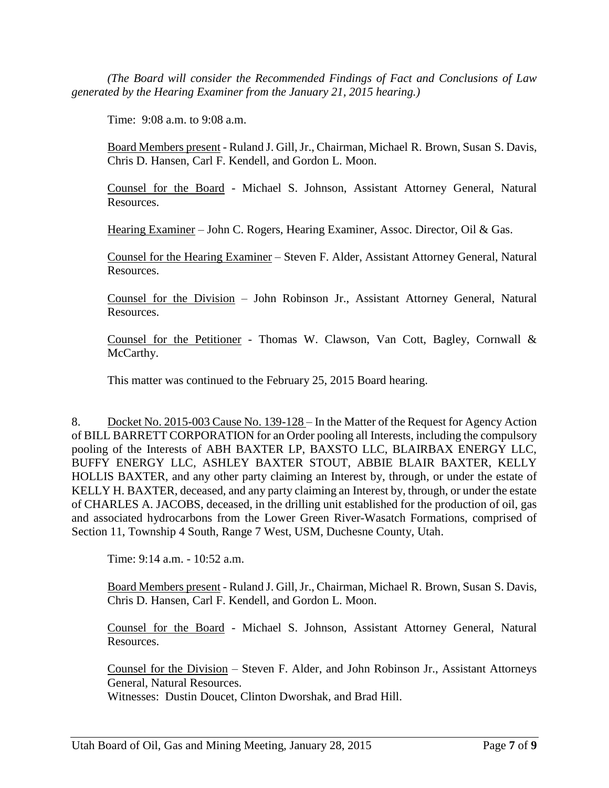*(The Board will consider the Recommended Findings of Fact and Conclusions of Law generated by the Hearing Examiner from the January 21, 2015 hearing.)*

Time: 9:08 a.m. to 9:08 a.m.

Board Members present - Ruland J. Gill, Jr., Chairman, Michael R. Brown, Susan S. Davis, Chris D. Hansen, Carl F. Kendell, and Gordon L. Moon.

Counsel for the Board - Michael S. Johnson, Assistant Attorney General, Natural Resources.

Hearing Examiner – John C. Rogers, Hearing Examiner, Assoc. Director, Oil & Gas.

Counsel for the Hearing Examiner – Steven F. Alder, Assistant Attorney General, Natural Resources.

Counsel for the Division – John Robinson Jr., Assistant Attorney General, Natural Resources.

Counsel for the Petitioner - Thomas W. Clawson, Van Cott, Bagley, Cornwall & McCarthy.

This matter was continued to the February 25, 2015 Board hearing.

8. Docket No. 2015-003 Cause No. 139-128 – In the Matter of the Request for Agency Action of BILL BARRETT CORPORATION for an Order pooling all Interests, including the compulsory pooling of the Interests of ABH BAXTER LP, BAXSTO LLC, BLAIRBAX ENERGY LLC, BUFFY ENERGY LLC, ASHLEY BAXTER STOUT, ABBIE BLAIR BAXTER, KELLY HOLLIS BAXTER, and any other party claiming an Interest by, through, or under the estate of KELLY H. BAXTER, deceased, and any party claiming an Interest by, through, or under the estate of CHARLES A. JACOBS, deceased, in the drilling unit established for the production of oil, gas and associated hydrocarbons from the Lower Green River-Wasatch Formations, comprised of Section 11, Township 4 South, Range 7 West, USM, Duchesne County, Utah.

Time: 9:14 a.m. - 10:52 a.m.

Board Members present - Ruland J. Gill, Jr., Chairman, Michael R. Brown, Susan S. Davis, Chris D. Hansen, Carl F. Kendell, and Gordon L. Moon.

Counsel for the Board - Michael S. Johnson, Assistant Attorney General, Natural Resources.

Counsel for the Division – Steven F. Alder, and John Robinson Jr., Assistant Attorneys General, Natural Resources.

Witnesses: Dustin Doucet, Clinton Dworshak, and Brad Hill.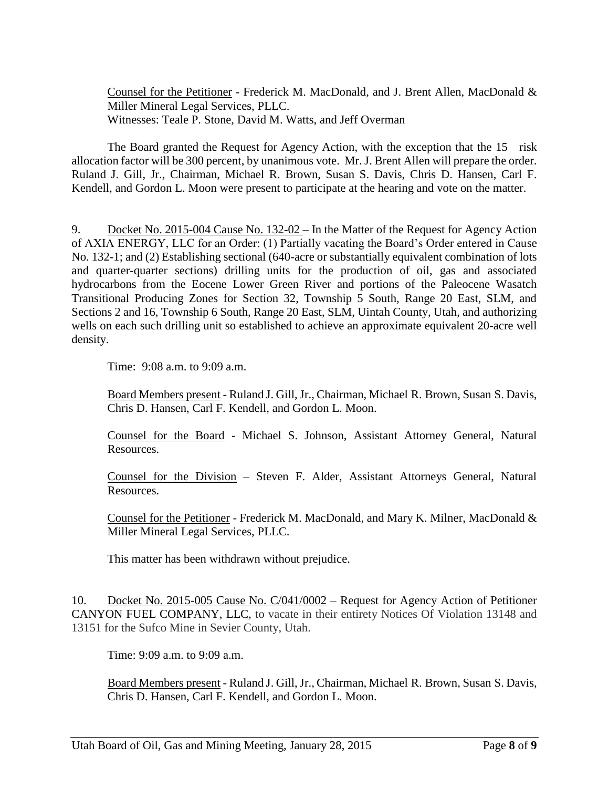Counsel for the Petitioner - Frederick M. MacDonald, and J. Brent Allen, MacDonald & Miller Mineral Legal Services, PLLC. Witnesses: Teale P. Stone, David M. Watts, and Jeff Overman

The Board granted the Request for Agency Action, with the exception that the 15 risk allocation factor will be 300 percent, by unanimous vote. Mr. J. Brent Allen will prepare the order. Ruland J. Gill, Jr., Chairman, Michael R. Brown, Susan S. Davis, Chris D. Hansen, Carl F. Kendell, and Gordon L. Moon were present to participate at the hearing and vote on the matter.

9. Docket No. 2015-004 Cause No. 132-02 – In the Matter of the Request for Agency Action of AXIA ENERGY, LLC for an Order: (1) Partially vacating the Board's Order entered in Cause No. 132-1; and (2) Establishing sectional (640-acre or substantially equivalent combination of lots and quarter-quarter sections) drilling units for the production of oil, gas and associated hydrocarbons from the Eocene Lower Green River and portions of the Paleocene Wasatch Transitional Producing Zones for Section 32, Township 5 South, Range 20 East, SLM, and Sections 2 and 16, Township 6 South, Range 20 East, SLM, Uintah County, Utah, and authorizing wells on each such drilling unit so established to achieve an approximate equivalent 20-acre well density.

Time: 9:08 a.m. to 9:09 a.m.

Board Members present - Ruland J. Gill, Jr., Chairman, Michael R. Brown, Susan S. Davis, Chris D. Hansen, Carl F. Kendell, and Gordon L. Moon.

Counsel for the Board - Michael S. Johnson, Assistant Attorney General, Natural Resources.

Counsel for the Division – Steven F. Alder, Assistant Attorneys General, Natural Resources.

Counsel for the Petitioner - Frederick M. MacDonald, and Mary K. Milner, MacDonald & Miller Mineral Legal Services, PLLC.

This matter has been withdrawn without prejudice.

10. Docket No. 2015-005 Cause No. C/041/0002 – Request for Agency Action of Petitioner CANYON FUEL COMPANY, LLC, to vacate in their entirety Notices Of Violation 13148 and 13151 for the Sufco Mine in Sevier County, Utah.

Time: 9:09 a.m. to 9:09 a.m.

Board Members present - Ruland J. Gill, Jr., Chairman, Michael R. Brown, Susan S. Davis, Chris D. Hansen, Carl F. Kendell, and Gordon L. Moon.